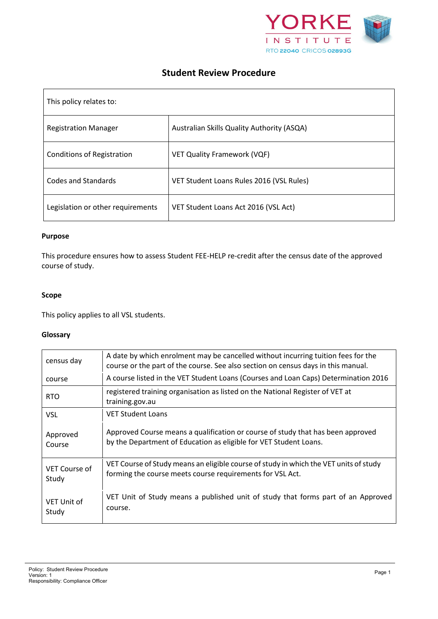

# **Student Review Procedure**

| This policy relates to:           |                                            |  |
|-----------------------------------|--------------------------------------------|--|
| <b>Registration Manager</b>       | Australian Skills Quality Authority (ASQA) |  |
| <b>Conditions of Registration</b> | <b>VET Quality Framework (VQF)</b>         |  |
| <b>Codes and Standards</b>        | VET Student Loans Rules 2016 (VSL Rules)   |  |
| Legislation or other requirements | VET Student Loans Act 2016 (VSL Act)       |  |

#### **Purpose**

This procedure ensures how to assess Student FEE-HELP re-credit after the census date of the approved course of study.

#### **Scope**

This policy applies to all VSL students.

### **Glossary**

| census day             | A date by which enrolment may be cancelled without incurring tuition fees for the<br>course or the part of the course. See also section on census days in this manual. |
|------------------------|------------------------------------------------------------------------------------------------------------------------------------------------------------------------|
| course                 | A course listed in the VET Student Loans (Courses and Loan Caps) Determination 2016                                                                                    |
| <b>RTO</b>             | registered training organisation as listed on the National Register of VET at<br>training.gov.au                                                                       |
| <b>VSL</b>             | <b>VET Student Loans</b>                                                                                                                                               |
| Approved<br>Course     | Approved Course means a qualification or course of study that has been approved<br>by the Department of Education as eligible for VET Student Loans.                   |
| VET Course of<br>Study | VET Course of Study means an eligible course of study in which the VET units of study<br>forming the course meets course requirements for VSL Act.                     |
| VET Unit of<br>Study   | VET Unit of Study means a published unit of study that forms part of an Approved<br>course.                                                                            |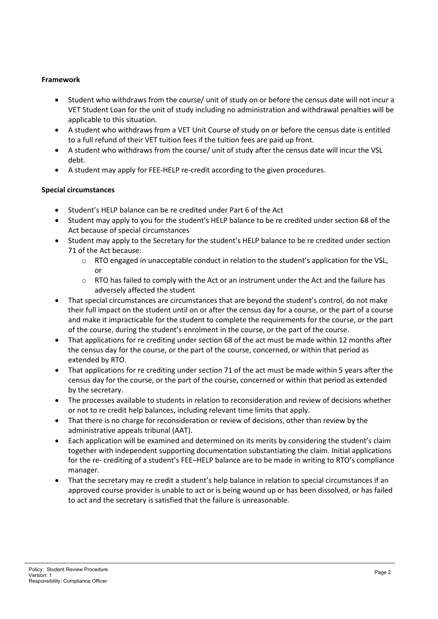## **Framework**

- Student who withdraws from the course/ unit of study on or before the census date will not incur a VET Student Loan for the unit of study including no administration and withdrawal penalties will be applicable to this situation.
- A student who withdraws from a VET Unit Course of study on or before the census date is entitled to a full refund of their VET tuition fees if the tuition fees are paid up front.
- A student who withdraws from the course/ unit of study after the census date will incur the VSL debt.
- A student may apply for FEE-HELP re-credit according to the given procedures.

## **Special circumstances**

- Student's HELP balance can be re credited under Part 6 of the Act
- Student may apply to you for the student's HELP balance to be re credited under section 68 of the Act because of special circumstances
- Student may apply to the Secretary for the student's HELP balance to be re credited under section 71 of the Act because:
	- o RTO engaged in unacceptable conduct in relation to the student's application for the VSL, or
	- $\circ$  RTO has failed to comply with the Act or an instrument under the Act and the failure has adversely affected the student
- That special circumstances are circumstances that are beyond the student's control, do not make their full impact on the student until on or after the census day for a course, or the part of a course and make it impracticable for the student to complete the requirements for the course, or the part of the course, during the student's enrolment in the course, or the part of the course.
- That applications for re crediting under section 68 of the act must be made within 12 months after the census day for the course, or the part of the course, concerned, or within that period as extended by RTO.
- That applications for re crediting under section 71 of the act must be made within 5 years after the census day for the course, or the part of the course, concerned or within that period as extended by the secretary.
- The processes available to students in relation to reconsideration and review of decisions whether or not to re credit help balances, including relevant time limits that apply.
- That there is no charge for reconsideration or review of decisions, other than review by the administrative appeals tribunal (AAT).
- Each application will be examined and determined on its merits by considering the student's claim together with independent supporting documentation substantiating the claim. Initial applications for the re- crediting of a student's FEE–HELP balance are to be made in writing to RTO's compliance manager.
- That the secretary may re credit a student's help balance in relation to special circumstances if an approved course provider is unable to act or is being wound up or has been dissolved, or has failed to act and the secretary is satisfied that the failure is unreasonable.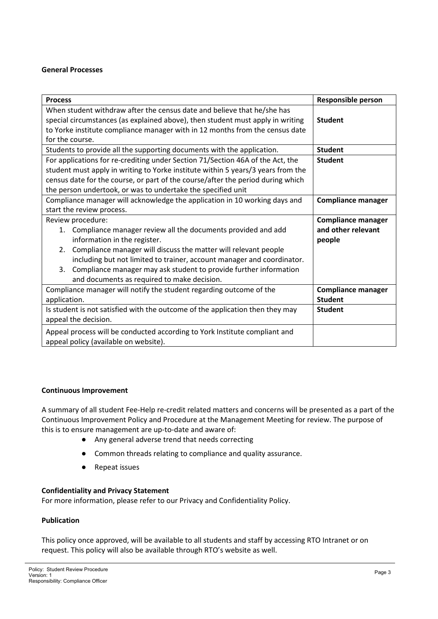### **General Processes**

| <b>Process</b>                                                                                                                                                                                                                                                                                                                                                                                 | <b>Responsible person</b>                                 |  |  |
|------------------------------------------------------------------------------------------------------------------------------------------------------------------------------------------------------------------------------------------------------------------------------------------------------------------------------------------------------------------------------------------------|-----------------------------------------------------------|--|--|
| When student withdraw after the census date and believe that he/she has<br>special circumstances (as explained above), then student must apply in writing<br>to Yorke institute compliance manager with in 12 months from the census date                                                                                                                                                      | <b>Student</b>                                            |  |  |
| for the course.                                                                                                                                                                                                                                                                                                                                                                                |                                                           |  |  |
| Students to provide all the supporting documents with the application.                                                                                                                                                                                                                                                                                                                         | <b>Student</b>                                            |  |  |
| For applications for re-crediting under Section 71/Section 46A of the Act, the<br><b>Student</b><br>student must apply in writing to Yorke institute within 5 years/3 years from the<br>census date for the course, or part of the course/after the period during which<br>the person undertook, or was to undertake the specified unit                                                        |                                                           |  |  |
| Compliance manager will acknowledge the application in 10 working days and                                                                                                                                                                                                                                                                                                                     | <b>Compliance manager</b>                                 |  |  |
| start the review process.                                                                                                                                                                                                                                                                                                                                                                      |                                                           |  |  |
| Review procedure:<br>Compliance manager review all the documents provided and add<br>1.<br>information in the register.<br>2. Compliance manager will discuss the matter will relevant people<br>including but not limited to trainer, account manager and coordinator.<br>3. Compliance manager may ask student to provide further information<br>and documents as required to make decision. | <b>Compliance manager</b><br>and other relevant<br>people |  |  |
| Compliance manager will notify the student regarding outcome of the<br>application.                                                                                                                                                                                                                                                                                                            | <b>Compliance manager</b><br><b>Student</b>               |  |  |
| Is student is not satisfied with the outcome of the application then they may<br>appeal the decision.                                                                                                                                                                                                                                                                                          | <b>Student</b>                                            |  |  |
| Appeal process will be conducted according to York Institute compliant and<br>appeal policy (available on website).                                                                                                                                                                                                                                                                            |                                                           |  |  |

#### **Continuous Improvement**

A summary of all student Fee-Help re-credit related matters and concerns will be presented as a part of the Continuous Improvement Policy and Procedure at the Management Meeting for review. The purpose of this is to ensure management are up-to-date and aware of:

- Any general adverse trend that needs correcting
- Common threads relating to compliance and quality assurance.
- Repeat issues

#### **Confidentiality and Privacy Statement**

For more information, please refer to our Privacy and Confidentiality Policy.

#### **Publication**

This policy once approved, will be available to all students and staff by accessing RTO Intranet or on request. This policy will also be available through RTO's website as well.